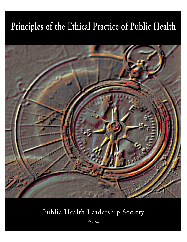## **Principles of the Ethical Practice of Public Health**



## Public Health Leadership Society

© 2002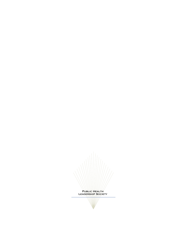Public Health Leadership Society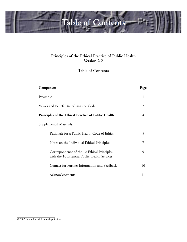

#### **Principles of the Ethical Practice of Public Health Version 2.2**

#### **Table of Contents**

| Component                                                                                   | Page |
|---------------------------------------------------------------------------------------------|------|
| Preamble                                                                                    | 1    |
| Values and Beliefs Underlying the Code                                                      | 2    |
| Principles of the Ethical Practice of Public Health                                         | 4    |
| Supplemental Materials:                                                                     |      |
| Rationale for a Public Health Code of Ethics                                                | 5    |
| Notes on the Individual Ethical Principles                                                  | 7    |
| Correspondence of the 12 Ethical Principles<br>with the 10 Essential Public Health Services | 9    |
| Contact for Further Information and Feedback                                                | 10   |
| Acknowlegements                                                                             | 11   |

#### © 2002 Public Health Leadership Society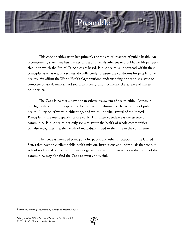

This code of ethics states key principles of the ethical practice of public health. An accompanying statement lists the key values and beliefs inherent to a public health perspective upon which the Ethical Principles are based. Public health is understood within these principles as what we, as a society, do collectively to assure the conditions for people to be healthy. We affirm the World Health Organization's understanding of health as a state of complete physical, mental, and social well-being, and not merely the absence of disease or infirmity.1

The Code is neither a new nor an exhaustive system of health ethics. Rather, it highlights the ethical principles that follow from the distinctive characteristics of public health. A key belief worth highlighting, and which underlies several of the Ethical Principles, is the interdependence of people. This interdependence is the essence of community. Public health not only seeks to assure the health of whole communities but also recognizes that the health of individuals is tied to their life in the community.

The Code is intended principally for public and other institutions in the United States that have an explicit public health mission. Institutions and individuals that are outside of traditional public health, but recognize the effects of their work on the health of the community, may also find the Code relevant and useful.



<sup>1</sup> From *The Future of Public Health*, Institute of Medicine, 1988.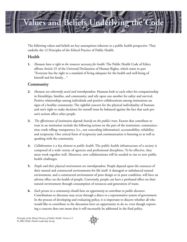## **Values and Beliefs Underlying the Co.**

The following values and beliefs are key assumptions inherent to a public health perspective. They underlie the 12 Principles of the Ethical Practice of Public Health.

#### **Health**

**1.** *Humans have a right to the resources necessary for health*. The Public Health Code of Ethics affirms Article 25 of the Universal Declaration of Human Rights, which states in part "Everyone has the right to a standard of living adequate for the health and well-being of himself and his family…"

#### **Community**

- **2.** *Humans are inherently social and interdependent*. Humans look to each other for companionship in friendships, families, and community; and rely upon one another for safety and survival. Positive relationships among individuals and positive collaborations among institutions are signs of a healthy community. The rightful concern for the physical individuality of humans and one's right to make decisions for oneself must be balanced against the fact that each person's actions affect other people.
- **3.** *The effectiveness of institutions depends heavily on the public's trust*. Factors that contribute to trust in an institution include the following actions on the part of the institution: communication; truth telling; transparency (i.e., not concealing information); accountability; reliability; and reciprocity. One critical form of reciprocity and communication is listening to as well as speaking with the community.
- **4.** *Collaboration is a key element to public health*. The public health infrastructure of a society is composed of a wide variety of agencies and professional disciplines. To be effective, they must work together well. Moreover, new collaborations will be needed to rise to new public health challenges.
- **5.** *People and their physical environment are interdependent*. People depend upon the resources of their natural and constructed environments for life itself. A damaged or unbalanced natural environment, and a constructed environment of poor design or in poor condition, will have an adverse effect on the health of people. Conversely, people can have a profound effect on their natural environment through consumption of resources and generation of waste.
- **6.** *Each person in a community should have an opportunity to contribute to public discourse*. Contributions to discourse may occur through a direct or a representative system of government. In the process of developing and evaluating policy, it is important to discern whether all who would like to contribute to the discussion have an opportunity to do so, even though expressing a concern does not mean that it will necessarily be addressed in the final policy.

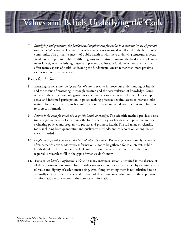# **Values and Beliefs Underlying the Code Values and Beliefs Underlying the Code**

**7.** *Identifying and promoting the fundamental requirements for health in a community are of primary concern to public health*. The way in which a society is structured is reflected in the health of a community. The primary concern of public health is with these underlying structural aspects. While some important public health programs are curative in nature, the field as a whole must never lose sight of underlying causes and prevention. Because fundamental social structures affect many aspects of health, addressing the fundamental causes rather than more proximal causes is more truly preventive.

#### **Bases for Action**

- **8.** *Knowledge is important and powerful.* We are to seek to improve our understanding of health and the means of protecting it through research and the accumulation of knowledge. Once obtained, there is a moral obligation in some instances to share what is known. For example, active and informed participation in policy-making processes requires access to relevant information. In other instances, such as information provided in confidence, there is an obligation to protect information.
- **9.** *Science is the basis for much of our public health knowledge*. The scientific method provides a relatively objective means of identifying the factors necessary for health in a population, and for evaluating policies and programs to protect and promote health. The full range of scientific tools, including both quantitative and qualitative methods, and collaboration among the sciences is needed.
- **10.** *People are responsible to act on the basis of what they know*. Knowledge is not morally neutral and often demands action. Moreover, information is not to be gathered for idle interest. Public health should seek to translate available information into timely action. Often, the action required is research to fill in the gaps of what we don't know.
- **11.** *Action is not based on information alone*. In many instances, action is required in the absence of all the information one would like. In other instances, policies are demanded by the fundamental value and dignity of each human being, even if implementing them is not calculated to be optimally efficient or cost-beneficial. In both of these situations, values inform the application of information or the action in the absence of information.

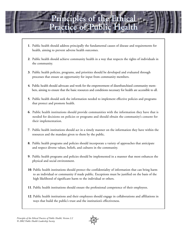#### **Principles of the Ethical Practice of Public Health Principles of the Ethical of Public Health**

- **1**. Public health should address principally the fundamental causes of disease and requirements for health, aiming to prevent adverse health outcomes.
- **2**. Public health should achieve community health in a way that respects the rights of individuals in the community.
- **3**. Public health policies, programs, and priorities should be developed and evaluated through processes that ensure an opportunity for input from community members.
- **4**. Public health should advocate and work for the empowerment of disenfranchised community members, aiming to ensure that the basic resources and conditions necessary for health are accessible to all.
- **5**. Public health should seek the information needed to implement effective policies and programs that protect and promote health.
- **6**. Public health institutions should provide communities with the information they have that is needed for decisions on policies or programs and should obtain the community's consent for their implementation.
- **7**. Public health institutions should act in a timely manner on the information they have within the resources and the mandate given to them by the public.
- **8**. Public health programs and policies should incorporate a variety of approaches that anticipate and respect diverse values, beliefs, and cultures in the community.
- **9**. Public health programs and policies should be implemented in a manner that most enhances the physical and social environment.
- **10**. Public health institutions should protect the confidentiality of information that can bring harm to an individual or community if made public. Exceptions must be justified on the basis of the high likelihood of significant harm to the individual or others.
- **11**. Public health institutions should ensure the professional competence of their employees.
- **12**. Public health institutions and their employees should engage in collaborations and affiliations in ways that build the public's trust and the institution's effectiveness.

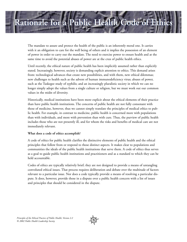# **Rationale for a Public Health Code of Eth**

The mandate to assure and protect the health of the public is an inherently moral one. It carries with it an obligation to care for the well being of others and it implies the possession of an element of power in order to carry out the mandate. The need to exercise power to ensure health and at the same time to avoid the potential abuses of power are at the crux of public health ethics.

Until recently, the ethical nature of public health has been implicitly assumed rather than explicitly stated. Increasingly, however, society is demanding explicit attention to ethics. This demand arises from: technological advances that create new possibilities, and with them, new ethical dilemmas; new challenges to health such as the advent of human immunodeficiency virus; abuses of power, such as the Tuskegee study of syphilis; and an increasingly pluralistic society in which we can no longer simply adopt the values from a single culture or religion, but we must work out our common values in the midst of diversity.

Historically, medical institutions have been more explicit about the ethical elements of their practice than have public health institutions. The concerns of public health are not fully consonant with those of medicine, however, thus we cannot simply translate the principles of medical ethics to public health. For example, in contrast to medicine, public health is concerned more with populations than with individuals, and more with prevention than with cure. Thus, the purview of public health includes those who are not presently ill, and for whom the risks and benefits of medical care are not immediately relevant.

#### **What does a code of ethics accomplish?**

A code of ethics for public health clarifies the distinctive elements of public health and the ethical principles that follow from or respond to those distinct aspects. It makes clear to populations and communities the ideals of the public health institutions that serve them. A code of ethics thus serves as a goal to guide public health institutions and practitioners and as a standard to which they can be held accountable.

Codes of ethics are typically relatively brief; they are not designed to provide a means of untangling convoluted ethical issues. That process requires deliberation and debate over the multitude of factors relevant to a particular issue. Nor does a code typically provide a means of resolving a particular dispute. It does, however, provide those in a dispute over a public health concern with a list of issues and principles that should be considered in the dispute.

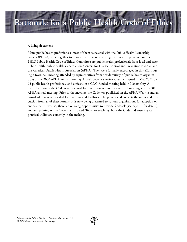# **Rationale for a Public Health Code of**

#### **A living document**

Many public health professionals, most of them associated with the Public Health Leadership Society (PHLS), came together to initiate the process of writing the Code. Represented on the PHLS Public Health Code of Ethics Committee are public health professionals from local and state public health, public health academia, the Centers for Disease Control and Prevention (CDC), and the American Public Health Association (APHA). They were formally encouraged in this effort during a town hall meeting attended by representatives from a wide variety of public health organizations at the 2000 APHA annual meeting. A draft code was reviewed and critiqued in May 2001 by 25 public health professionals and ethicists in a CDC-funded meeting held in Kansas City. A revised version of the Code was presented for discussion at another town hall meeting at the 2001 APHA annual meeting. Prior to the meeting, the Code was published on the APHA Website and an e-mail address was provided for reactions and feedback. The present code reflects the input and discussion from all of these forums. It is now being presented to various organizations for adoption or endorsement. Even so, there are ongoing opportunities to provide feedback (see page 10 for details), and an updating of the Code is anticipated. Tools for teaching about the Code and ensuring its practical utility are currently in the making.

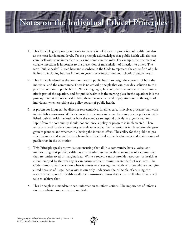## **Notes on the Individual Ethical Princip**

- 1. This Principle gives priority not only to prevention of disease or promotion of health, but also at the most fundamental levels. Yet the principle acknowledges that public health will also concern itself with some immediate causes and some curative roles. For example, the treatment of curable infections is important to the prevention of transmission of infection to others. The term "public health" is used here and elsewhere in the Code to represent the entire field of public health, including but not limited to government institutions and schools of public health.
- 2. This Principle identifies the common need in public health to weigh the concerns of both the individual and the community. There is no ethical principle that can provide a solution to this perennial tension in public health. We can highlight, however, that the interest of the community is part of the equation, and for public health it is the starting place in the equation; it is the primary interest of public health. Still, there remains the need to pay attention to the rights of individuals when exercising the police powers of public health.
- 3. A process for input can be direct or representative. In either case, it involves processes that work to establish a consensus. While democratic processes can be cumbersome, once a policy is established, public health institutions have the mandate to respond quickly to urgent situations. Input from the community should not end once a policy or program is implemented. There remains a need for the community to evaluate whether the institution is implementing the program as planned and whether it is having the intended effect. The ability for the public to provide this input and sense that it is being heard is critical in the development and maintenance of public trust in the institution.
- 4. This Principle speaks to two issues: ensuring that all in a community have a voice; and underscoring that public health has a particular interest in those members of a community that are underserved or marginalized. While a society cannot provide resources for health at a level enjoyed by the wealthy, it can ensure a decent minimum standard of resources. The Code cannot prescribe action when it comes to ensuring the health of those who are marginalized because of illegal behaviors. It can only underscore the principle of ensuring the resources necessary for health to all. Each institution must decide for itself what risks it will take to achieve that.
- 5. This Principle is a mandate to seek information to inform actions. The importance of information to evaluate programs is also implied.

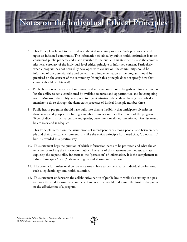## **Notes on the Individual Ethical Princip**

- 6. This Principle is linked to the third one about democratic processes. Such processes depend upon an informed community. The information obtained by public health institutions is to be considered public property and made available to the public. This statement is also the community-level corollary of the individual-level ethical principle of informed consent. Particularly when a program has not been duly developed with evaluation, the community should be informed of the potential risks and benefits, and implementation of the program should be premised on the consent of the community (though this principle does not specify how that consent should be obtained).
- 7. Public health is active rather than passive, and information is not to be gathered for idle interest. Yet the ability to act is conditioned by available resources and opportunities, and by competing needs. Moreover, the ability to respond to urgent situations depends on having established a mandate to do so through the democratic processes of Ethical Principle number three.
- 8. Public health programs should have built into them a flexibility that anticipates diversity in those needs and perspectives having a significant impact on the effectiveness of the program. Types of diversity, such as culture and gender, were intentionally not mentioned. Any list would be arbitrary and inadequate.
- 9. This Principle stems from the assumptions of interdependence among people, and between people and their physical environment. It is like the ethical principle from medicine, "do no harm," but it is worded in a positive way.
- 10. This statement begs the question of which information needs to be protected and what the criteria are for making the information public. The aims of this statement are modest: to state explicitly the responsibility inherent to the "possession" of information. It is the complement to Ethical Principles 6 and 7, about acting on and sharing information.
- 11. The criteria for professional competence would have to be specified by individual professions, such as epidemiology and health education.
- 12. This statement underscores the collaborative nature of public health while also stating in a positive way the need to avoid any conflicts of interest that would undermine the trust of the public or the effectiveness of a program.

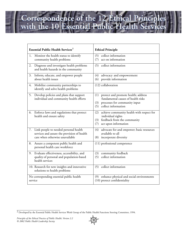#### **Correspondence of the 12 Ethical Principles with the 10 Essential Public Health Services Correspondence of the 12 Ethical Principles with the 10 Essential Public Health Services**

| <b>Essential Public Health Services<sup>2</sup></b><br><b>Ethical Principle</b>                                               |                                                                                                                                                     |
|-------------------------------------------------------------------------------------------------------------------------------|-----------------------------------------------------------------------------------------------------------------------------------------------------|
| Monitor the health status to identify<br>1.<br>community health problems                                                      | collect information<br>(5)<br>act on information<br>(7)                                                                                             |
| Diagnose and investigate health problems<br>2.<br>and health hazards in the community                                         | collect information<br>(5)                                                                                                                          |
| Inform, educate, and empower people<br>3.<br>about health issues                                                              | advocacy and empowerment<br>(4)<br>provide information<br>(6)                                                                                       |
| Mobilize community partnerships to<br>4.<br>identify and solve health problems                                                | (12) collaboration                                                                                                                                  |
| Develop policies and plans that support<br>5.<br>individual and community health efforts                                      | (1) protect and promote health; address<br>fundamental causes of health risks<br>processes for community input<br>(3)<br>collect information<br>(5) |
| Enforce laws and regulations that protect<br>6.<br>health and ensure safety                                                   | achieve community health with respect for<br>(2)<br>individual rights<br>feedback from the community<br>(3)<br>act upon information<br>(7)          |
| Link people to needed personal health<br>7.<br>services and assure the provision of health<br>care when otherwise unavailable | advocate for and empower; basic resources<br>(4)<br>available to all<br>(8) incorporate diversity                                                   |
| Assure a competent public health and<br>8.<br>personal health care workforce                                                  | (11) professional competence                                                                                                                        |
| Evaluate effectiveness, accessibility, and<br>9.<br>quality of personal and population-based<br>health services               | community feedback<br>(3)<br>collect information<br>(5)                                                                                             |
| 10. Research for new insights and innovative<br>solutions to health problems                                                  | (5) collect information                                                                                                                             |
| No corresponding essential public health<br>service                                                                           | (9) enhance physical and social environments<br>(10) protect confidentiality                                                                        |



<sup>&</sup>lt;sup>2</sup> Developed by the Essential Public Health Services Work Group of the Public Health Functions Steering Committee, 1994.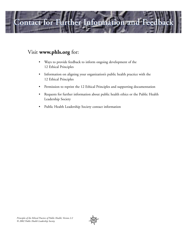### Visit **www.phls.org** for:

- Ways to provide feedback to inform ongoing development of the 12 Ethical Principles
- Information on aligning your organization's public health practice with the 12 Ethical Principles
- Permission to reprint the 12 Ethical Principles and supporting documentation
- Requests for further information about public health ethics or the Public Health Leadership Society
- Public Health Leadership Society contact information

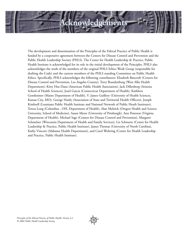## **Acknowledgements**

The development and dissemination of the Principles of the Ethical Practice of Public Health is funded by a cooperative agreement between the Centers for Disease Control and Prevention and the Public Health Leadership Society (PHLS). The Center for Health Leadership & Practice, Public Health Institute is acknowledged for its role in the initial development of the Principles. PHLS also acknowledges the work of the members of the original PHLS Ethics Work Group (responsible for drafting the Code) and the current members of the PHLS standing Committee on Public Health Ethics. Specifically, PHLS acknowledges the following contributors: Elizabeth Bancroft (Centers for Disease Control and Prevention, Los Angeles County), Terry Brandenburg (West Allis Health Department), Kitty Hsu Dana (American Public Health Association), Jack Dillenberg (Arizona School of Health Sciences), Joxel Garcia (Connecticut Department of Health), Kathleen Gensheimer (Maine Department of Health), V. James Guillory (University of Health Sciences, Kansas City, MO), George Hardy (Association of State and Territorial Health Officers), Joseph Kimbrell (Louisiana Public Health Institute and National Network of Public Heath Institutes), Teresa Long (Columbus , OH, Department of Health), Alan Melnick (Oregon Health and Science University, School of Medicine), Susan Myers (University of Pittsburgh), Ann Peterson (Virginia Department of Health), Michael Sage (Centers for Disease Control and Prevention), Margaret Schmelzer (Wisconsin Department of Health and Family Services), Liz Schwarte (Center for Health Leadership & Practice, Public Health Institute), James Thomas (University of North Carolina), Kathy Vincent (Alabama Health Department), and Carol Woltring (Center for Health Leadership and Practice, Public Health Institute).

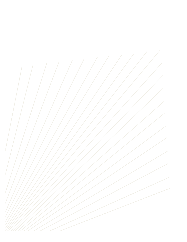